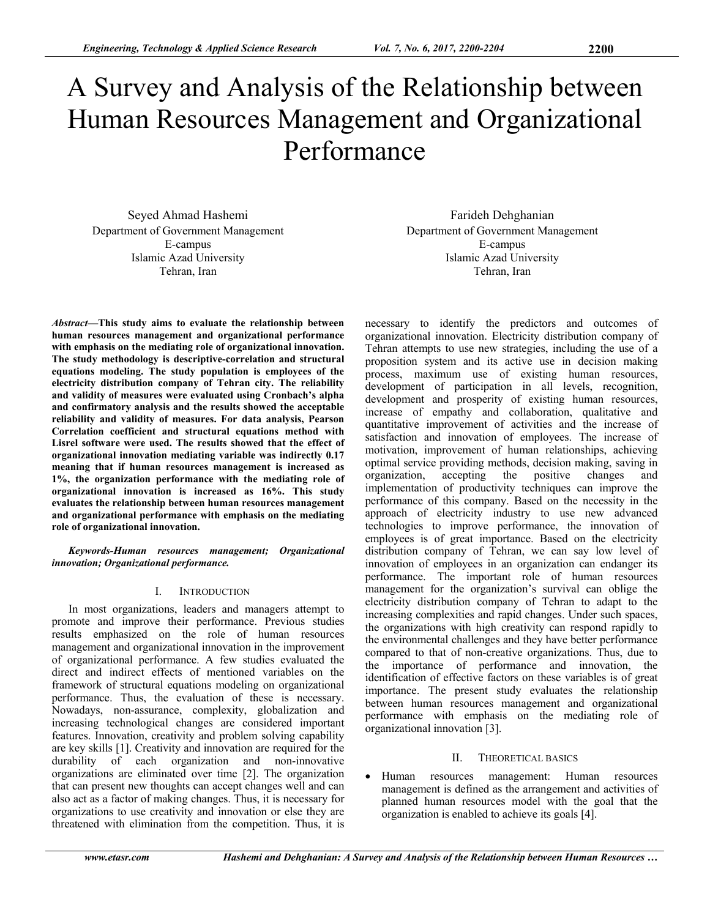# A Survey and Analysis of the Relationship between Human Resources Management and Organizational Performance

Seyed Ahmad Hashemi Department of Government Management E-campus Islamic Azad University Tehran, Iran

*Abstract***—This study aims to evaluate the relationship between human resources management and organizational performance with emphasis on the mediating role of organizational innovation. The study methodology is descriptive-correlation and structural equations modeling. The study population is employees of the electricity distribution company of Tehran city. The reliability and validity of measures were evaluated using Cronbach's alpha and confirmatory analysis and the results showed the acceptable reliability and validity of measures. For data analysis, Pearson Correlation coefficient and structural equations method with Lisrel software were used. The results showed that the effect of organizational innovation mediating variable was indirectly 0.17 meaning that if human resources management is increased as 1%, the organization performance with the mediating role of organizational innovation is increased as 16%. This study evaluates the relationship between human resources management and organizational performance with emphasis on the mediating role of organizational innovation.** 

*Keywords-Human resources management; Organizational innovation; Organizational performance.* 

# I. INTRODUCTION

In most organizations, leaders and managers attempt to promote and improve their performance. Previous studies results emphasized on the role of human resources management and organizational innovation in the improvement of organizational performance. A few studies evaluated the direct and indirect effects of mentioned variables on the framework of structural equations modeling on organizational performance. Thus, the evaluation of these is necessary. Nowadays, non-assurance, complexity, globalization and increasing technological changes are considered important features. Innovation, creativity and problem solving capability are key skills [1]. Creativity and innovation are required for the durability of each organization and non-innovative organizations are eliminated over time [2]. The organization that can present new thoughts can accept changes well and can also act as a factor of making changes. Thus, it is necessary for organizations to use creativity and innovation or else they are threatened with elimination from the competition. Thus, it is

Farideh Dehghanian Department of Government Management E-campus Islamic Azad University Tehran, Iran

necessary to identify the predictors and outcomes of organizational innovation. Electricity distribution company of Tehran attempts to use new strategies, including the use of a proposition system and its active use in decision making process, maximum use of existing human resources, development of participation in all levels, recognition, development and prosperity of existing human resources, increase of empathy and collaboration, qualitative and quantitative improvement of activities and the increase of satisfaction and innovation of employees. The increase of motivation, improvement of human relationships, achieving optimal service providing methods, decision making, saving in organization, accepting the positive changes and implementation of productivity techniques can improve the performance of this company. Based on the necessity in the approach of electricity industry to use new advanced technologies to improve performance, the innovation of employees is of great importance. Based on the electricity distribution company of Tehran, we can say low level of innovation of employees in an organization can endanger its performance. The important role of human resources management for the organization's survival can oblige the electricity distribution company of Tehran to adapt to the increasing complexities and rapid changes. Under such spaces, the organizations with high creativity can respond rapidly to the environmental challenges and they have better performance compared to that of non-creative organizations. Thus, due to the importance of performance and innovation, the identification of effective factors on these variables is of great importance. The present study evaluates the relationship between human resources management and organizational performance with emphasis on the mediating role of organizational innovation [3].

## II. THEORETICAL BASICS

 Human resources management: Human resources management is defined as the arrangement and activities of planned human resources model with the goal that the organization is enabled to achieve its goals [4].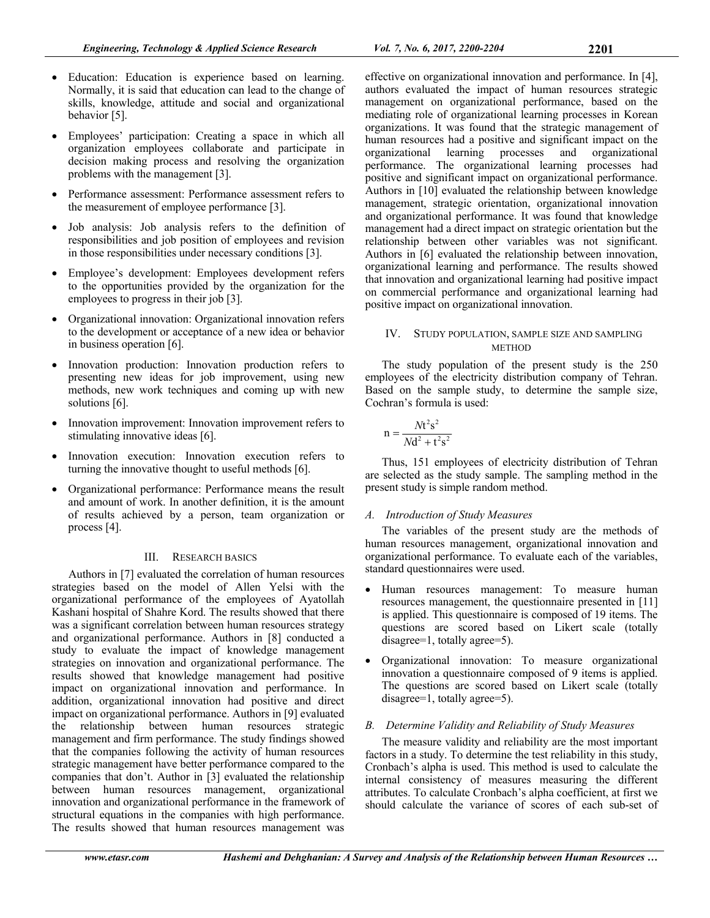- Education: Education is experience based on learning. Normally, it is said that education can lead to the change of skills, knowledge, attitude and social and organizational behavior [5].
- Employees' participation: Creating a space in which all organization employees collaborate and participate in decision making process and resolving the organization problems with the management [3].
- Performance assessment: Performance assessment refers to the measurement of employee performance [3].
- Job analysis: Job analysis refers to the definition of responsibilities and job position of employees and revision in those responsibilities under necessary conditions [3].
- Employee's development: Employees development refers to the opportunities provided by the organization for the employees to progress in their job [3].
- Organizational innovation: Organizational innovation refers to the development or acceptance of a new idea or behavior in business operation [6].
- Innovation production: Innovation production refers to presenting new ideas for job improvement, using new methods, new work techniques and coming up with new solutions [6].
- Innovation improvement: Innovation improvement refers to stimulating innovative ideas [6].
- Innovation execution: Innovation execution refers to turning the innovative thought to useful methods [6].
- Organizational performance: Performance means the result and amount of work. In another definition, it is the amount of results achieved by a person, team organization or process [4].

# III. RESEARCH BASICS

Authors in [7] evaluated the correlation of human resources strategies based on the model of Allen Yelsi with the organizational performance of the employees of Ayatollah Kashani hospital of Shahre Kord. The results showed that there was a significant correlation between human resources strategy and organizational performance. Authors in [8] conducted a study to evaluate the impact of knowledge management strategies on innovation and organizational performance. The results showed that knowledge management had positive impact on organizational innovation and performance. In addition, organizational innovation had positive and direct impact on organizational performance. Authors in [9] evaluated the relationship between human resources strategic management and firm performance. The study findings showed that the companies following the activity of human resources strategic management have better performance compared to the companies that don't. Author in [3] evaluated the relationship between human resources management, organizational innovation and organizational performance in the framework of structural equations in the companies with high performance. The results showed that human resources management was

effective on organizational innovation and performance. In [4], authors evaluated the impact of human resources strategic management on organizational performance, based on the mediating role of organizational learning processes in Korean organizations. It was found that the strategic management of human resources had a positive and significant impact on the organizational learning processes and organizational performance. The organizational learning processes had positive and significant impact on organizational performance. Authors in [10] evaluated the relationship between knowledge management, strategic orientation, organizational innovation and organizational performance. It was found that knowledge management had a direct impact on strategic orientation but the relationship between other variables was not significant. Authors in [6] evaluated the relationship between innovation, organizational learning and performance. The results showed that innovation and organizational learning had positive impact on commercial performance and organizational learning had positive impact on organizational innovation.

# IV. STUDY POPULATION, SAMPLE SIZE AND SAMPLING **METHOD**

The study population of the present study is the 250 employees of the electricity distribution company of Tehran. Based on the sample study, to determine the sample size, Cochran's formula is used:

$$
n = \frac{Nt^2s^2}{Nd^2 + t^2s^2}
$$

Thus, 151 employees of electricity distribution of Tehran are selected as the study sample. The sampling method in the present study is simple random method.

# *A. Introduction of Study Measures*

The variables of the present study are the methods of human resources management, organizational innovation and organizational performance. To evaluate each of the variables, standard questionnaires were used.

- Human resources management: To measure human resources management, the questionnaire presented in [11] is applied. This questionnaire is composed of 19 items. The questions are scored based on Likert scale (totally disagree=1, totally agree=5).
- Organizational innovation: To measure organizational innovation a questionnaire composed of 9 items is applied. The questions are scored based on Likert scale (totally disagree=1, totally agree=5).

# *B. Determine Validity and Reliability of Study Measures*

The measure validity and reliability are the most important factors in a study. To determine the test reliability in this study, Cronbach's alpha is used. This method is used to calculate the internal consistency of measures measuring the different attributes. To calculate Cronbach's alpha coefficient, at first we should calculate the variance of scores of each sub-set of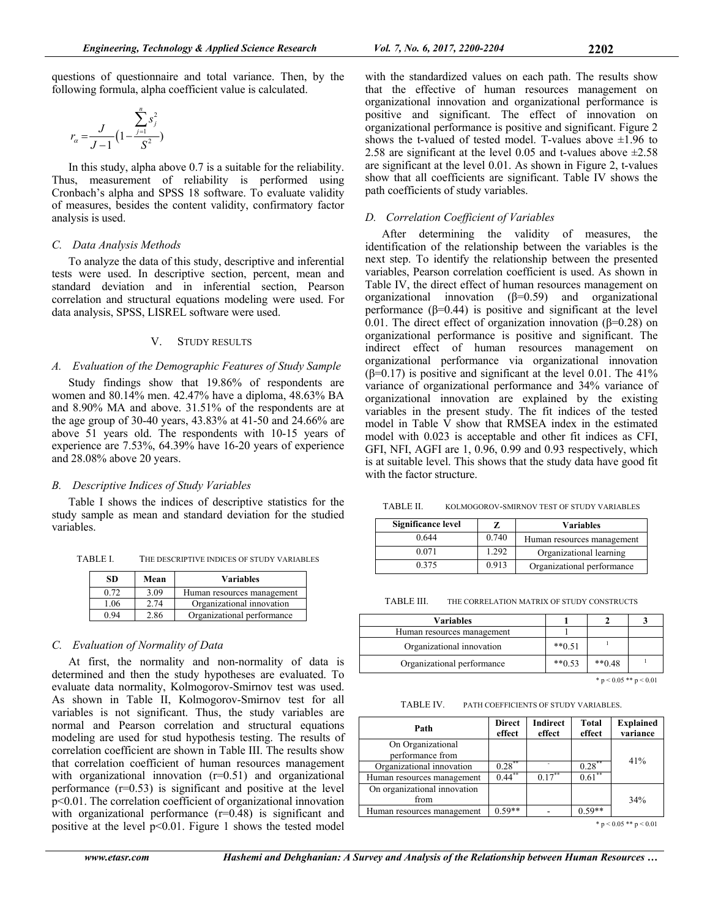questions of questionnaire and total variance. Then, by the following formula, alpha coefficient value is calculated.

$$
r_{\alpha} = \frac{J}{J - 1} \left( 1 - \frac{\sum_{j=1}^{n} s_j^2}{S^2} \right)
$$

In this study, alpha above 0.7 is a suitable for the reliability. Thus, measurement of reliability is performed using Cronbach's alpha and SPSS 18 software. To evaluate validity of measures, besides the content validity, confirmatory factor analysis is used.

## *C. Data Analysis Methods*

To analyze the data of this study, descriptive and inferential tests were used. In descriptive section, percent, mean and standard deviation and in inferential section, Pearson correlation and structural equations modeling were used. For data analysis, SPSS, LISREL software were used.

## V. STUDY RESULTS

### *A. Evaluation of the Demographic Features of Study Sample*

Study findings show that 19.86% of respondents are women and 80.14% men. 42.47% have a diploma, 48.63% BA and 8.90% MA and above. 31.51% of the respondents are at the age group of 30-40 years, 43.83% at 41-50 and 24.66% are above 51 years old. The respondents with 10-15 years of experience are 7.53%, 64.39% have 16-20 years of experience and 28.08% above 20 years.

#### *B. Descriptive Indices of Study Variables*

Table I shows the indices of descriptive statistics for the study sample as mean and standard deviation for the studied variables.

TABLE I. THE DESCRIPTIVE INDICES OF STUDY VARIABLES

| <b>SD</b> | Mean | <b>Variables</b>           |
|-----------|------|----------------------------|
| 0.72      | 3.09 | Human resources management |
| 1.06      | 2.74 | Organizational innovation  |
| 0.94      | 2.86 | Organizational performance |

## *C. Evaluation of Normality of Data*

At first, the normality and non-normality of data is determined and then the study hypotheses are evaluated. To evaluate data normality, Kolmogorov-Smirnov test was used. As shown in Table II, Kolmogorov-Smirnov test for all variables is not significant. Thus, the study variables are normal and Pearson correlation and structural equations modeling are used for stud hypothesis testing. The results of correlation coefficient are shown in Table III. The results show that correlation coefficient of human resources management with organizational innovation  $(r=0.51)$  and organizational performance  $(r=0.53)$  is significant and positive at the level p<0.01. The correlation coefficient of organizational innovation with organizational performance (r=0.48) is significant and positive at the level p<0.01. Figure 1 shows the tested model

with the standardized values on each path. The results show that the effective of human resources management on organizational innovation and organizational performance is positive and significant. The effect of innovation on organizational performance is positive and significant. Figure 2 shows the t-valued of tested model. T-values above  $\pm 1.96$  to 2.58 are significant at the level 0.05 and t-values above  $\pm 2.58$ are significant at the level 0.01. As shown in Figure 2, t-values show that all coefficients are significant. Table IV shows the path coefficients of study variables.

# *D. Correlation Coefficient of Variables*

After determining the validity of measures, the identification of the relationship between the variables is the next step. To identify the relationship between the presented variables, Pearson correlation coefficient is used. As shown in Table IV, the direct effect of human resources management on organizational innovation (β=0.59) and organizational performance  $(\beta=0.44)$  is positive and significant at the level 0.01. The direct effect of organization innovation ( $\beta$ =0.28) on organizational performance is positive and significant. The indirect effect of human resources management on organizational performance via organizational innovation ( $\beta$ =0.17) is positive and significant at the level 0.01. The 41% variance of organizational performance and 34% variance of organizational innovation are explained by the existing variables in the present study. The fit indices of the tested model in Table V show that RMSEA index in the estimated model with 0.023 is acceptable and other fit indices as CFI, GFI, NFI, AGFI are 1, 0.96, 0.99 and 0.93 respectively, which is at suitable level. This shows that the study data have good fit with the factor structure.

TABLE II. KOLMOGOROV-SMIRNOV TEST OF STUDY VARIABLES

| <b>Significance level</b> |       | <b>Variables</b>           |
|---------------------------|-------|----------------------------|
| 0.644                     | 0.740 | Human resources management |
| 0.071                     | 1.292 | Organizational learning    |
| 0.375                     | 0.913 | Organizational performance |

TABLE III. THE CORRELATION MATRIX OF STUDY CONSTRUCTS

| <b>Variables</b>           |          |          |  |
|----------------------------|----------|----------|--|
| Human resources management |          |          |  |
| Organizational innovation  | $**0.51$ |          |  |
| Organizational performance | $**0.53$ | $**0.48$ |  |

\*  $p < 0.05$  \*\*  $p < 0.01$ 

TABLE IV. PATH COEFFICIENTS OF STUDY VARIABLES.

| Path                                  | <b>Direct</b><br>effect | <b>Indirect</b><br>effect | Total<br>effect | <b>Explained</b><br>variance |
|---------------------------------------|-------------------------|---------------------------|-----------------|------------------------------|
| On Organizational<br>performance from |                         |                           |                 | 41%                          |
| Organizational innovation             | $0.28$ **               |                           | $0.28$ **       |                              |
| Human resources management            | $0.44***$               | $0.17***$                 | $0.61***$       |                              |
| On organizational innovation<br>from  |                         |                           |                 |                              |
|                                       |                         |                           |                 | 34%                          |
| Human resources management            | $0.59**$                |                           | $0.59**$        |                              |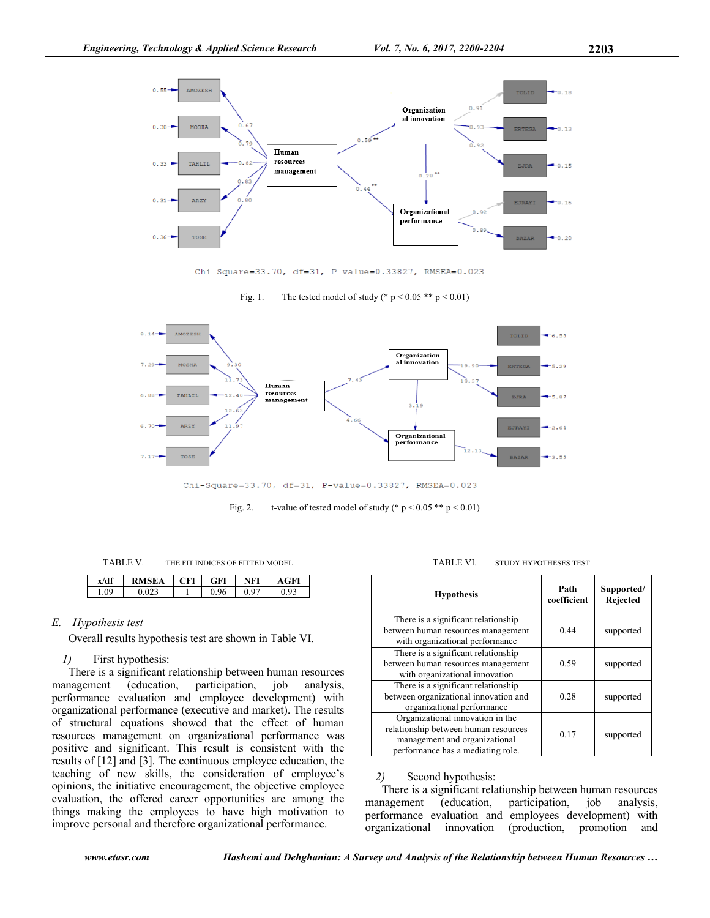

Chi-Square=33.70, df=31, P-value=0.33827, RMSEA=0.023

Fig. 1. The tested model of study (\*  $p < 0.05$  \*\*  $p < 0.01$ )



Chi-Square=33.70, df=31, P-value=0.33827, RMSEA=0.023

Fig. 2. t-value of tested model of study (\*  $p < 0.05$  \*\*  $p < 0.01$ )

| x/df | RMSEA | FІ | GFI | JFI  | AGF' |
|------|-------|----|-----|------|------|
| 1.09 |       |    | 96  | . a- |      |

## *E. Hypothesis test*

Overall results hypothesis test are shown in Table VI.

## *1)* First hypothesis:

There is a significant relationship between human resources management (education, participation, job analysis, performance evaluation and employee development) with organizational performance (executive and market). The results of structural equations showed that the effect of human resources management on organizational performance was positive and significant. This result is consistent with the results of [12] and [3]. The continuous employee education, the teaching of new skills, the consideration of employee's opinions, the initiative encouragement, the objective employee evaluation, the offered career opportunities are among the things making the employees to have high motivation to improve personal and therefore organizational performance.

TABLE VI. STUDY HYPOTHESES TEST

| <b>Hypothesis</b>                                                                                                                              | Path<br>coefficient | Supported/<br><b>Rejected</b> |
|------------------------------------------------------------------------------------------------------------------------------------------------|---------------------|-------------------------------|
| There is a significant relationship<br>between human resources management<br>with organizational performance                                   | 0.44                | supported                     |
| There is a significant relationship<br>between human resources management<br>with organizational innovation                                    | 0.59                | supported                     |
| There is a significant relationship<br>between organizational innovation and<br>organizational performance                                     | 0.28                | supported                     |
| Organizational innovation in the<br>relationship between human resources<br>management and organizational<br>performance has a mediating role. | 0.17                | supported                     |

# *2)* Second hypothesis:

There is a significant relationship between human resources management (education, participation, job analysis, performance evaluation and employees development) with organizational innovation (production, promotion and